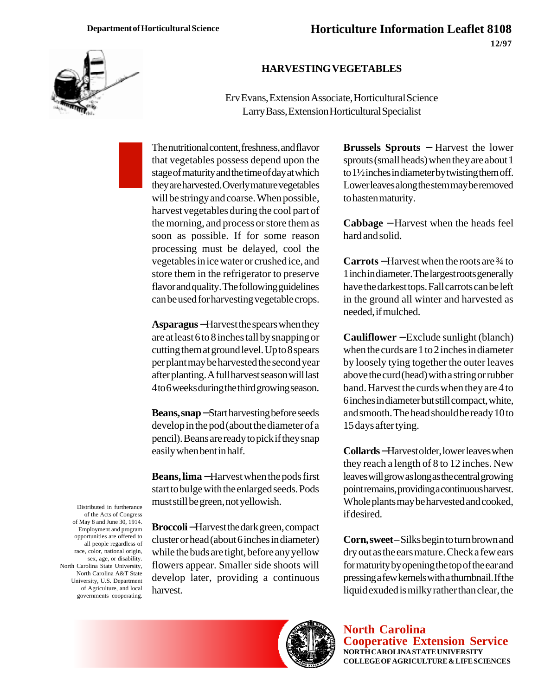

## **HARVESTING VEGETABLES**

Erv Evans, Extension Associate, Horticultural Science Larry Bass, Extension Horticultural Specialist

The nutritional content, freshness, and flavor that vegetables possess depend upon the stage of maturity and the time of day at which they are harvested. Overly mature vegetables will be stringy and coarse. When possible, harvest vegetables during the cool part of the morning, and process or store them as soon as possible. If for some reason processing must be delayed, cool the vegetables in ice water or crushed ice, and store them in the refrigerator to preserve flavor and quality. The following guidelines can be used for harvesting vegetable crops.

**Asparagus** −Harvest the spears when they are at least 6 to 8 inches tall by snapping or cutting them at ground level. Up to 8 spears per plant may be harvested the second year after planting. A full harvest season will last 4 to 6 weeks during the third growing season.

**Beans, snap** −Start harvesting before seeds develop in the pod (about the diameter of a pencil). Beans are ready to pick if they snap easily when bent in half.

**Beans, lima** −Harvest when the pods first start to bulge with the enlarged seeds. Pods must still be green, not yellowish.

**Broccoli** −Harvest the dark green, compact cluster or head (about 6 inches in diameter) while the buds are tight, before any yellow flowers appear. Smaller side shoots will develop later, providing a continuous harvest.

**Brussels Sprouts** − Harvest the lower sprouts (small heads) when they are about 1 to 1½ inches in diameter by twisting them off. Lower leaves along the stem may be removed to hasten maturity.

**Cabbage** − Harvest when the heads feel hard and solid.

**Carrots** −Harvest when the roots are ¾ to 1 inch in diameter. The largest roots generally have the darkest tops. Fall carrots can be left in the ground all winter and harvested as needed, if mulched.

**Cauliflower** − Exclude sunlight (blanch) when the curds are 1 to 2 inches in diameter by loosely tying together the outer leaves above the curd (head) with a string or rubber band. Harvest the curds when they are 4 to 6 inches in diameter but still compact, white, and smooth. The head should be ready 10 to 15 days after tying.

**Collards** −Harvest older, lower leaves when they reach a length of 8 to 12 inches. New leaves will grow as long as the central growing point remains, providing a continuous harvest. Whole plants may be harvested and cooked, if desired.

**Corn, sweet** – Silks begin to turn brown and dry out as the ears mature. Check a few ears for maturity by opening the top of the ear and pressing a few kernels with a thumbnail. If the liquid exuded is milky rather than clear, the

**North Carolina Cooperative Extension Service NORTH CAROLINA STATE UNIVERSITY COLLEGE OF AGRICULTURE & LIFE SCIENCES**

Distributed in furtherance of the Acts of Congress of May 8 and June 30, 1914. Employment and program opportunities are offered to all people regardless of race, color, national origin, sex, age, or disability. North Carolina State University, North Carolina A&T State University, U.S. Department of Agriculture, and local governments cooperating.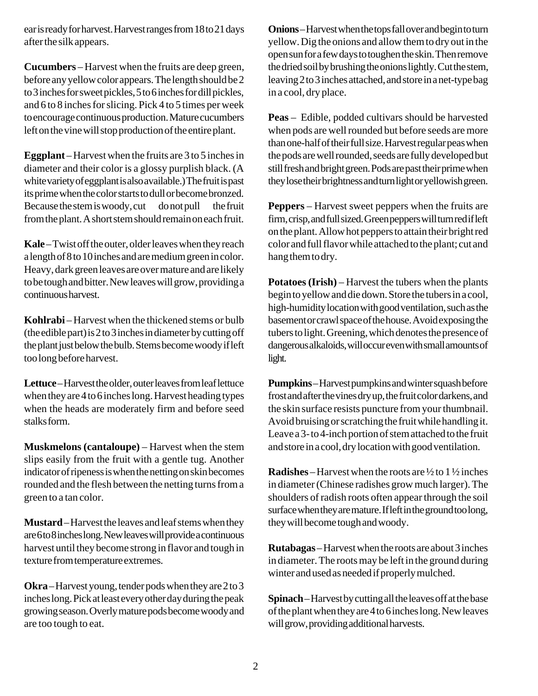ear is ready for harvest. Harvest ranges from 18 to 21 days after the silk appears.

**Cucumbers** – Harvest when the fruits are deep green, before any yellow color appears. The length should be 2 to 3 inches for sweet pickles, 5 to 6 inches for dill pickles, and 6 to 8 inches for slicing. Pick 4 to 5 times per week to encourage continuous production. Mature cucumbers left on the vine will stop production of the entire plant.

**Eggplant** – Harvest when the fruits are 3 to 5 inches in diameter and their color is a glossy purplish black. (A white variety of eggplant is also available.) The fruit is past its prime when the color starts to dull or become bronzed. Because the stem is woody, cut—do not pull—the fruit from the plant. A short stem should remain on each fruit.

**Kale** – Twist off the outer, older leaves when they reach a length of 8 to 10 inches and are medium green in color. Heavy, dark green leaves are over mature and are likely to be tough and bitter. New leaves will grow, providing a continuous harvest.

**Kohlrabi** – Harvest when the thickened stems or bulb (the edible part) is 2 to 3 inches in diameter by cutting off the plant just below the bulb. Stems become woody if left too long before harvest.

**Lettuce** – Harvest the older, outer leaves from leaf lettuce when they are 4 to 6 inches long. Harvest heading types when the heads are moderately firm and before seed stalks form.

**Muskmelons (cantaloupe)** – Harvest when the stem slips easily from the fruit with a gentle tug. Another indicator of ripeness is when the netting on skin becomes rounded and the flesh between the netting turns from a green to a tan color.

**Mustard** – Harvest the leaves and leaf stems when they are 6 to 8 inches long. New leaves will provide a continuous harvest until they become strong in flavor and tough in texture from temperature extremes.

**Okra** – Harvest young, tender pods when they are 2 to 3 inches long. Pick at least every other day during the peak growing season. Overly mature pods become woody and are too tough to eat.

**Onions** – Harvest when the tops fall over and begin to turn yellow. Dig the onions and allow them to dry out in the open sun for a few days to toughen the skin. Then remove the dried soil by brushing the onions lightly. Cut the stem, leaving 2 to 3 inches attached, and store in a net-type bag in a cool, dry place.

**Peas** – Edible, podded cultivars should be harvested when pods are well rounded but before seeds are more than one-half of their full size. Harvest regular peas when the pods are well rounded, seeds are fully developed but still fresh and bright green. Pods are past their prime when they lose their brightness and turn light or yellowish green.

**Peppers** – Harvest sweet peppers when the fruits are firm, crisp, and full sized. Green peppers will turn red if left on the plant. Allow hot peppers to attain their bright red color and full flavor while attached to the plant; cut and hang them to dry.

**Potatoes (Irish)** – Harvest the tubers when the plants begin to yellow and die down. Store the tubers in a cool, high-humidity location with good ventilation, such as the basement or crawl space of the house. Avoid exposing the tubers to light. Greening, which denotes the presence of dangerous alkaloids, will occur even with small amounts of light.

**Pumpkins** – Harvest pumpkins and winter squash before frost and after the vines dry up, the fruit color darkens, and the skin surface resists puncture from your thumbnail. Avoid bruising or scratching the fruit while handling it. Leave a 3- to 4-inch portion of stem attached to the fruit and store in a cool, dry location with good ventilation.

**Radishes** – Harvest when the roots are  $\frac{1}{2}$  to 1  $\frac{1}{2}$  inches in diameter (Chinese radishes grow much larger). The shoulders of radish roots often appear through the soil surface when they are mature. If left in the ground too long, they will become tough and woody.

**Rutabagas** – Harvest when the roots are about 3 inches in diameter. The roots may be left in the ground during winter and used as needed if properly mulched.

**Spinach** – Harvest by cutting all the leaves off at the base of the plant when they are 4 to 6 inches long. New leaves will grow, providing additional harvests.